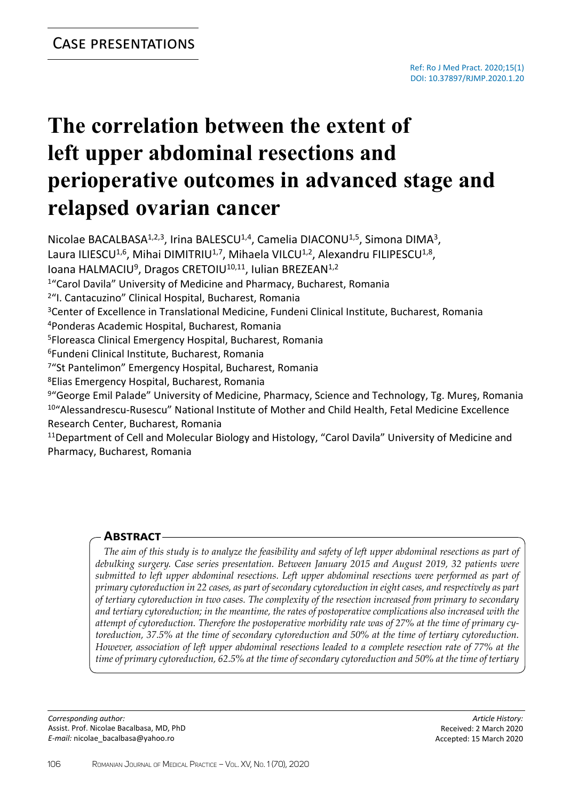# **The correlation between the extent of left upper abdominal resections and perioperative outcomes in advanced stage and relapsed ovarian cancer**

Nicolae BACALBASA<sup>1,2,3</sup>, Irina BALESCU<sup>1,4</sup>, Camelia DIACONU<sup>1,5</sup>, Simona DIMA<sup>3</sup>, Laura ILIESCU<sup>1,6</sup>, Mihai DIMITRIU<sup>1,7</sup>, Mihaela VILCU<sup>1,2</sup>, Alexandru FILIPESCU<sup>1,8</sup>,

Ioana HALMACIU<sup>9</sup>, Dragos CRETOIU<sup>10,11</sup>, Iulian BREZEAN<sup>1,2</sup>

<sup>1</sup>"Carol Davila" University of Medicine and Pharmacy, Bucharest, Romania

<sup>2</sup>"I. Cantacuzino" Clinical Hospital, Bucharest, Romania

<sup>3</sup>Center of Excellence in Translational Medicine, Fundeni Clinical Institute, Bucharest, Romania

<sup>4</sup>Ponderas Academic Hospital, Bucharest, Romania

<sup>5</sup>Floreasca Clinical Emergency Hospital, Bucharest, Romania

<sup>6</sup>Fundeni Clinical Institute, Bucharest, Romania

<sup>7</sup>"St Pantelimon" Emergency Hospital, Bucharest, Romania

<sup>8</sup>Elias Emergency Hospital, Bucharest, Romania

9"George Emil Palade" University of Medicine, Pharmacy, Science and Technology, Tg. Mures, Romania <sup>10</sup>"Alessandrescu-Rusescu" National Institute of Mother and Child Health, Fetal Medicine Excellence Research Center, Bucharest, Romania

<sup>11</sup>Department of Cell and Molecular Biology and Histology, "Carol Davila" University of Medicine and Pharmacy, Bucharest, Romania

## **Abstract**

*The aim of this study is to analyze the feasibility and safety of left upper abdominal resections as part of debulking surgery. Case series presentation. Between January 2015 and August 2019, 32 patients were submitted to left upper abdominal resections. Left upper abdominal resections were performed as part of primary cytoreduction in 22 cases, as part of secondary cytoreduction in eight cases, and respectively as part of tertiary cytoreduction in two cases. The complexity of the resection increased from primary to secondary and tertiary cytoreduction; in the meantime, the rates of postoperative complications also increased with the attempt of cytoreduction. Therefore the postoperative morbidity rate was of 27% at the time of primary cytoreduction, 37.5% at the time of secondary cytoreduction and 50% at the time of tertiary cytoreduction. However, association of left upper abdominal resections leaded to a complete resection rate of 77% at the time of primary cytoreduction, 62.5% at the time of secondary cytoreduction and 50% at the time of tertiary* 

*Corresponding author:* Assist. Prof. Nicolae Bacalbasa, MD, PhD *E-mail:* nicolae\_bacalbasa@yahoo.ro

*Article History:* Received: 2 March 2020 Accepted: 15 March 2020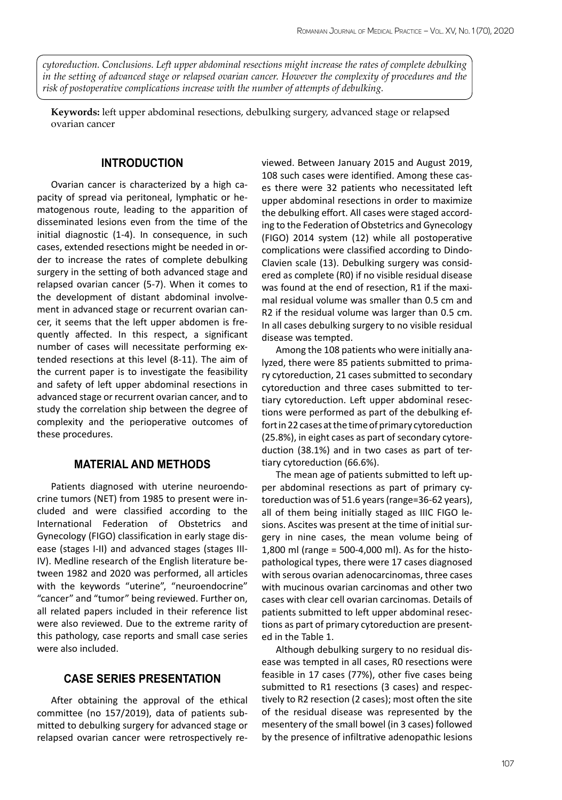*cytoreduction. Conclusions. Left upper abdominal resections might increase the rates of complete debulking in the setting of advanced stage or relapsed ovarian cancer. However the complexity of procedures and the risk of postoperative complications increase with the number of attempts of debulking.*

**Keywords:** left upper abdominal resections, debulking surgery, advanced stage or relapsed ovarian cancer

## **INTRODUCTION**

Ovarian cancer is characterized by a high capacity of spread via peritoneal, lymphatic or hematogenous route, leading to the apparition of disseminated lesions even from the time of the initial diagnostic (1-4). In consequence, in such cases, extended resections might be needed in order to increase the rates of complete debulking surgery in the setting of both advanced stage and relapsed ovarian cancer (5-7). When it comes to the development of distant abdominal involvement in advanced stage or recurrent ovarian cancer, it seems that the left upper abdomen is frequently affected. In this respect, a significant number of cases will necessitate performing extended resections at this level (8-11). The aim of the current paper is to investigate the feasibility and safety of left upper abdominal resections in advanced stage or recurrent ovarian cancer, and to study the correlation ship between the degree of complexity and the perioperative outcomes of these procedures.

## **MATERIAL AND METHODS**

Patients diagnosed with uterine neuroendocrine tumors (NET) from 1985 to present were included and were classified according to the International Federation of Obstetrics and Gynecology (FIGO) classification in early stage disease (stages I-II) and advanced stages (stages III-IV). Medline research of the English literature between 1982 and 2020 was performed, all articles with the keywords "uterine", "neuroendocrine" "cancer" and "tumor" being reviewed. Further on, all related papers included in their reference list were also reviewed. Due to the extreme rarity of this pathology, case reports and small case series were also included.

#### **CASE SERIES PRESENTATION**

After obtaining the approval of the ethical committee (no 157/2019), data of patients submitted to debulking surgery for advanced stage or relapsed ovarian cancer were retrospectively reviewed. Between January 2015 and August 2019, 108 such cases were identified. Among these cases there were 32 patients who necessitated left upper abdominal resections in order to maximize the debulking effort. All cases were staged according to the Federation of Obstetrics and Gynecology (FIGO) 2014 system (12) while all postoperative complications were classified according to Dindo-Clavien scale (13). Debulking surgery was considered as complete (R0) if no visible residual disease was found at the end of resection, R1 if the maximal residual volume was smaller than 0.5 cm and R2 if the residual volume was larger than 0.5 cm. In all cases debulking surgery to no visible residual disease was tempted.

Among the 108 patients who were initially analyzed, there were 85 patients submitted to primary cytoreduction, 21 cases submitted to secondary cytoreduction and three cases submitted to tertiary cytoreduction. Left upper abdominal resections were performed as part of the debulking effort in 22 cases at the time of primary cytoreduction (25.8%), in eight cases as part of secondary cytoreduction (38.1%) and in two cases as part of tertiary cytoreduction (66.6%).

The mean age of patients submitted to left upper abdominal resections as part of primary cytoreduction was of 51.6 years (range=36-62 years), all of them being initially staged as IIIC FIGO lesions. Ascites was present at the time of initial surgery in nine cases, the mean volume being of 1,800 ml (range = 500-4,000 ml). As for the histopathological types, there were 17 cases diagnosed with serous ovarian adenocarcinomas, three cases with mucinous ovarian carcinomas and other two cases with clear cell ovarian carcinomas. Details of patients submitted to left upper abdominal resections as part of primary cytoreduction are presented in the Table 1.

Although debulking surgery to no residual disease was tempted in all cases, R0 resections were feasible in 17 cases (77%), other five cases being submitted to R1 resections (3 cases) and respectively to R2 resection (2 cases); most often the site of the residual disease was represented by the mesentery of the small bowel (in 3 cases) followed by the presence of infiltrative adenopathic lesions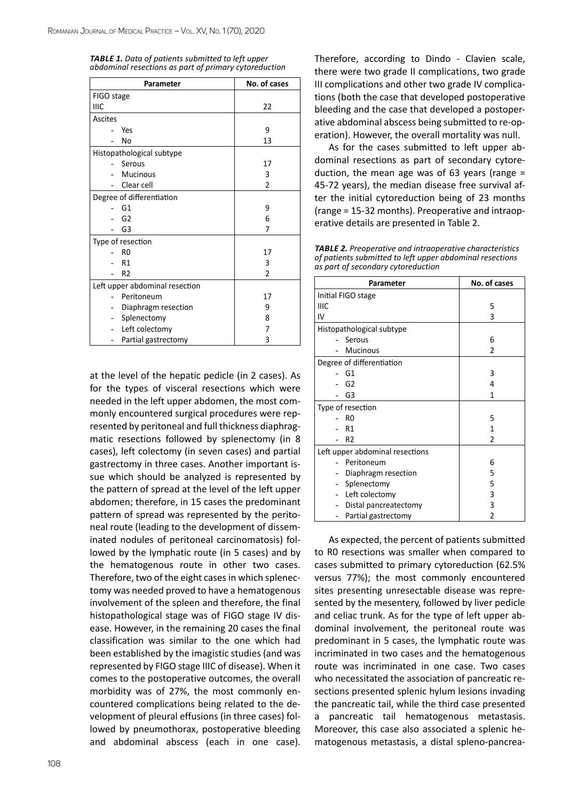| <b>TABLE 1.</b> Data of patients submitted to left upper |  |
|----------------------------------------------------------|--|
| abdominal resections as part of primary cytoreduction    |  |

| Parameter                      | No. of cases   |
|--------------------------------|----------------|
| FIGO stage                     |                |
| IIIC                           | 22             |
| Ascites                        |                |
| Yes                            | 9              |
| No                             | 13             |
| Histopathological subtype      |                |
| Serous                         | 17             |
| <b>Mucinous</b>                | 3              |
| Clear cell                     | $\mathfrak{p}$ |
| Degree of differentiation      |                |
| G1                             | 9              |
| G <sub>2</sub>                 | 6              |
| G3                             | 7              |
| Type of resection              |                |
| R <sub>0</sub>                 | 17             |
| R1                             | 3              |
| R <sub>2</sub>                 | 2              |
| Left upper abdominal resection |                |
| Peritoneum                     | 17             |
| Diaphragm resection            | 9              |
| Splenectomy                    | 8              |
| Left colectomy                 | 7              |
| Partial gastrectomy            | 3              |

at the level of the hepatic pedicle (in 2 cases). As for the types of visceral resections which were needed in the left upper abdomen, the most commonly encountered surgical procedures were represented by peritoneal and full thickness diaphragmatic resections followed by splenectomy (in 8 cases), left colectomy (in seven cases) and partial gastrectomy in three cases. Another important issue which should be analyzed is represented by the pattern of spread at the level of the left upper abdomen; therefore, in 15 cases the predominant pattern of spread was represented by the peritoneal route (leading to the development of disseminated nodules of peritoneal carcinomatosis) followed by the lymphatic route (in 5 cases) and by the hematogenous route in other two cases. Therefore, two of the eight cases in which splenectomy was needed proved to have a hematogenous involvement of the spleen and therefore, the final histopathological stage was of FIGO stage IV disease. However, in the remaining 20 cases the final classification was similar to the one which had been established by the imagistic studies (and was represented by FIGO stage IIIC of disease). When it comes to the postoperative outcomes, the overall morbidity was of 27%, the most commonly encountered complications being related to the development of pleural effusions (in three cases) followed by pneumothorax, postoperative bleeding and abdominal abscess (each in one case).

Therefore, according to Dindo - Clavien scale, there were two grade II complications, two grade III complications and other two grade IV complications (both the case that developed postoperative bleeding and the case that developed a postoperative abdominal abscess being submitted to re-operation). However, the overall mortality was null.

As for the cases submitted to left upper abdominal resections as part of secondary cytoreduction, the mean age was of 63 years (range  $=$ 45-72 years), the median disease free survival after the initial cytoreduction being of 23 months (range = 15-32 months). Preoperative and intraoperative details are presented in Table 2.

*Table 2. Preoperative and intraoperative characteristics of patients submitted to left upper abdominal resections as part of secondary cytoreduction*

| Parameter                       | No. of cases |
|---------------------------------|--------------|
| Initial FIGO stage              |              |
| IIIC                            | 5            |
| IV                              | 3            |
| Histopathological subtype       |              |
| Serous                          | 6            |
| <b>Mucinous</b>                 | 2            |
| Degree of differentiation       |              |
| G1                              | 3            |
| G <sub>2</sub>                  | 4            |
| G3                              | 1            |
| Type of resection               |              |
| R0                              | 5            |
| R <sub>1</sub>                  | 1            |
| R <sub>2</sub>                  | 2            |
| Left upper abdominal resections |              |
| Peritoneum                      | 6            |
| Diaphragm resection             | 5            |
| Splenectomy                     | 5            |
| Left colectomy                  | 3            |
| Distal pancreatectomy           | 3            |
| Partial gastrectomy             | 2            |

As expected, the percent of patients submitted to R0 resections was smaller when compared to cases submitted to primary cytoreduction (62.5% versus 77%); the most commonly encountered sites presenting unresectable disease was represented by the mesentery, followed by liver pedicle and celiac trunk. As for the type of left upper abdominal involvement, the peritoneal route was predominant in 5 cases, the lymphatic route was incriminated in two cases and the hematogenous route was incriminated in one case. Two cases who necessitated the association of pancreatic resections presented splenic hylum lesions invading the pancreatic tail, while the third case presented a pancreatic tail hematogenous metastasis. Moreover, this case also associated a splenic hematogenous metastasis, a distal spleno-pancrea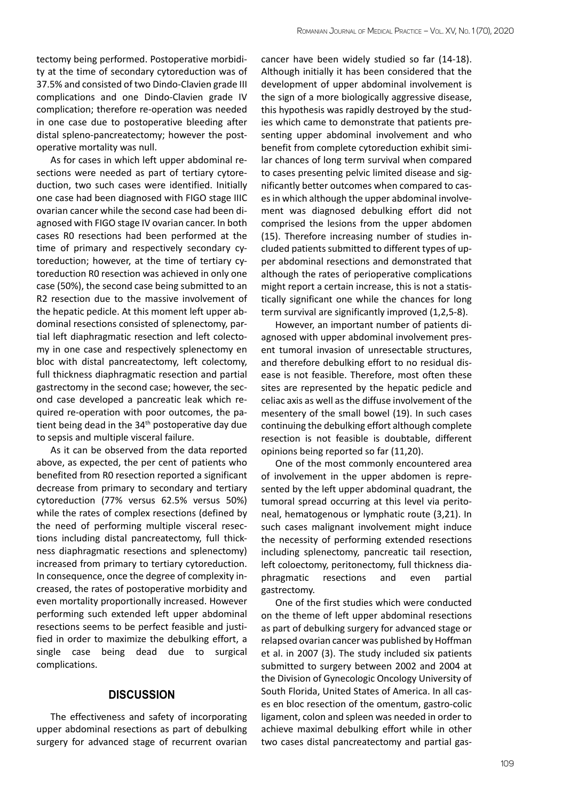tectomy being performed. Postoperative morbidity at the time of secondary cytoreduction was of 37.5% and consisted of two Dindo-Clavien grade III complications and one Dindo-Clavien grade IV complication; therefore re-operation was needed in one case due to postoperative bleeding after distal spleno-pancreatectomy; however the postoperative mortality was null.

As for cases in which left upper abdominal resections were needed as part of tertiary cytoreduction, two such cases were identified. Initially one case had been diagnosed with FIGO stage IIIC ovarian cancer while the second case had been diagnosed with FIGO stage IV ovarian cancer. In both cases R0 resections had been performed at the time of primary and respectively secondary cytoreduction; however, at the time of tertiary cytoreduction R0 resection was achieved in only one case (50%), the second case being submitted to an R2 resection due to the massive involvement of the hepatic pedicle. At this moment left upper abdominal resections consisted of splenectomy, partial left diaphragmatic resection and left colectomy in one case and respectively splenectomy en bloc with distal pancreatectomy, left colectomy, full thickness diaphragmatic resection and partial gastrectomy in the second case; however, the second case developed a pancreatic leak which required re-operation with poor outcomes, the patient being dead in the 34<sup>th</sup> postoperative day due to sepsis and multiple visceral failure.

As it can be observed from the data reported above, as expected, the per cent of patients who benefited from R0 resection reported a significant decrease from primary to secondary and tertiary cytoreduction (77% versus 62.5% versus 50%) while the rates of complex resections (defined by the need of performing multiple visceral resections including distal pancreatectomy, full thickness diaphragmatic resections and splenectomy) increased from primary to tertiary cytoreduction. In consequence, once the degree of complexity increased, the rates of postoperative morbidity and even mortality proportionally increased. However performing such extended left upper abdominal resections seems to be perfect feasible and justified in order to maximize the debulking effort, a single case being dead due to surgical complications.

### **DISCUSSION**

The effectiveness and safety of incorporating upper abdominal resections as part of debulking surgery for advanced stage of recurrent ovarian

cancer have been widely studied so far (14-18). Although initially it has been considered that the development of upper abdominal involvement is the sign of a more biologically aggressive disease, this hypothesis was rapidly destroyed by the studies which came to demonstrate that patients presenting upper abdominal involvement and who benefit from complete cytoreduction exhibit similar chances of long term survival when compared to cases presenting pelvic limited disease and significantly better outcomes when compared to cases in which although the upper abdominal involvement was diagnosed debulking effort did not comprised the lesions from the upper abdomen (15). Therefore increasing number of studies included patients submitted to different types of upper abdominal resections and demonstrated that although the rates of perioperative complications might report a certain increase, this is not a statistically significant one while the chances for long term survival are significantly improved (1,2,5-8).

However, an important number of patients diagnosed with upper abdominal involvement present tumoral invasion of unresectable structures, and therefore debulking effort to no residual disease is not feasible. Therefore, most often these sites are represented by the hepatic pedicle and celiac axis as well as the diffuse involvement of the mesentery of the small bowel (19). In such cases continuing the debulking effort although complete resection is not feasible is doubtable, different opinions being reported so far (11,20).

One of the most commonly encountered area of involvement in the upper abdomen is represented by the left upper abdominal quadrant, the tumoral spread occurring at this level via peritoneal, hematogenous or lymphatic route (3,21). In such cases malignant involvement might induce the necessity of performing extended resections including splenectomy, pancreatic tail resection, left coloectomy, peritonectomy, full thickness diaphragmatic resections and even partial gastrectomy.

One of the first studies which were conducted on the theme of left upper abdominal resections as part of debulking surgery for advanced stage or relapsed ovarian cancer was published by Hoffman et al. in 2007 (3). The study included six patients submitted to surgery between 2002 and 2004 at the Division of Gynecologic Oncology University of South Florida, United States of America. In all cases en bloc resection of the omentum, gastro-colic ligament, colon and spleen was needed in order to achieve maximal debulking effort while in other two cases distal pancreatectomy and partial gas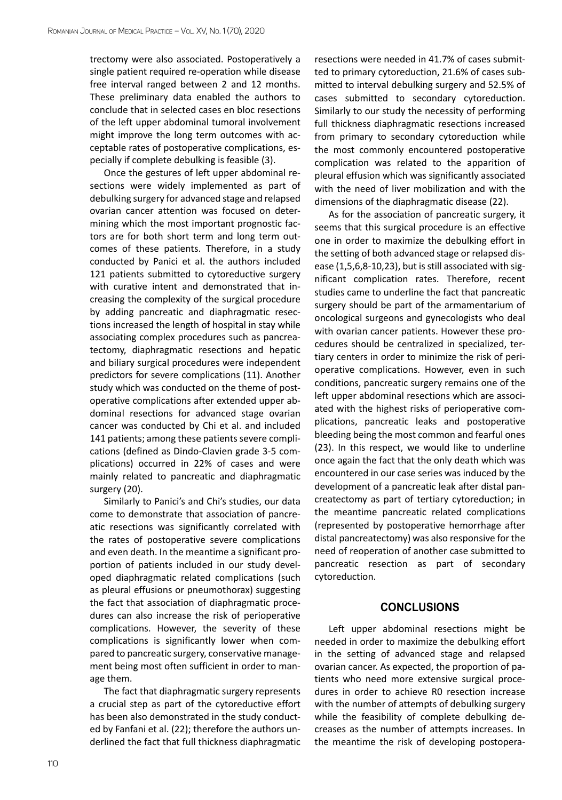trectomy were also associated. Postoperatively a single patient required re-operation while disease free interval ranged between 2 and 12 months. These preliminary data enabled the authors to conclude that in selected cases en bloc resections of the left upper abdominal tumoral involvement might improve the long term outcomes with acceptable rates of postoperative complications, especially if complete debulking is feasible (3).

Once the gestures of left upper abdominal resections were widely implemented as part of debulking surgery for advanced stage and relapsed ovarian cancer attention was focused on determining which the most important prognostic factors are for both short term and long term outcomes of these patients. Therefore, in a study conducted by Panici et al. the authors included 121 patients submitted to cytoreductive surgery with curative intent and demonstrated that increasing the complexity of the surgical procedure by adding pancreatic and diaphragmatic resections increased the length of hospital in stay while associating complex procedures such as pancreatectomy, diaphragmatic resections and hepatic and biliary surgical procedures were independent predictors for severe complications (11). Another study which was conducted on the theme of postoperative complications after extended upper abdominal resections for advanced stage ovarian cancer was conducted by Chi et al. and included 141 patients; among these patients severe complications (defined as Dindo-Clavien grade 3-5 complications) occurred in 22% of cases and were mainly related to pancreatic and diaphragmatic surgery (20).

Similarly to Panici's and Chi's studies, our data come to demonstrate that association of pancreatic resections was significantly correlated with the rates of postoperative severe complications and even death. In the meantime a significant proportion of patients included in our study developed diaphragmatic related complications (such as pleural effusions or pneumothorax) suggesting the fact that association of diaphragmatic procedures can also increase the risk of perioperative complications. However, the severity of these complications is significantly lower when compared to pancreatic surgery, conservative management being most often sufficient in order to manage them.

The fact that diaphragmatic surgery represents a crucial step as part of the cytoreductive effort has been also demonstrated in the study conducted by Fanfani et al. (22); therefore the authors underlined the fact that full thickness diaphragmatic resections were needed in 41.7% of cases submitted to primary cytoreduction, 21.6% of cases submitted to interval debulking surgery and 52.5% of cases submitted to secondary cytoreduction. Similarly to our study the necessity of performing full thickness diaphragmatic resections increased from primary to secondary cytoreduction while the most commonly encountered postoperative complication was related to the apparition of pleural effusion which was significantly associated with the need of liver mobilization and with the dimensions of the diaphragmatic disease (22).

As for the association of pancreatic surgery, it seems that this surgical procedure is an effective one in order to maximize the debulking effort in the setting of both advanced stage or relapsed disease (1,5,6,8-10,23), but is still associated with significant complication rates. Therefore, recent studies came to underline the fact that pancreatic surgery should be part of the armamentarium of oncological surgeons and gynecologists who deal with ovarian cancer patients. However these procedures should be centralized in specialized, tertiary centers in order to minimize the risk of perioperative complications. However, even in such conditions, pancreatic surgery remains one of the left upper abdominal resections which are associated with the highest risks of perioperative complications, pancreatic leaks and postoperative bleeding being the most common and fearful ones (23). In this respect, we would like to underline once again the fact that the only death which was encountered in our case series was induced by the development of a pancreatic leak after distal pancreatectomy as part of tertiary cytoreduction; in the meantime pancreatic related complications (represented by postoperative hemorrhage after distal pancreatectomy) was also responsive for the need of reoperation of another case submitted to pancreatic resection as part of secondary cytoreduction.

### **CONCLUSIONS**

Left upper abdominal resections might be needed in order to maximize the debulking effort in the setting of advanced stage and relapsed ovarian cancer. As expected, the proportion of patients who need more extensive surgical procedures in order to achieve R0 resection increase with the number of attempts of debulking surgery while the feasibility of complete debulking decreases as the number of attempts increases. In the meantime the risk of developing postopera